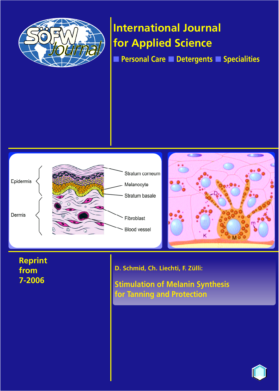

# **International Journal for Applied Science**

■ **Personal Care** ■ **Detergents** ■ **Specialities**





**Reprint from 7-2006**

# **D. Schmid, Ch. Liechti, F. Zülli:**

**Stimulation of Melanin Synthesis for Tanning and Protection**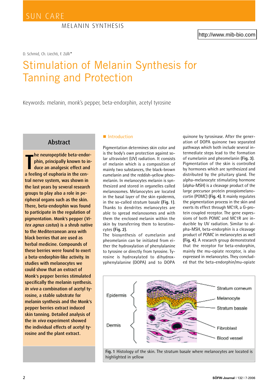D. Schmid, Ch. Liechti, F. Zülli*\**

# Stimulation of Melanin Synthesis for Tanning and Protection

Keywords: melanin, monk's pepper, beta-endorphin, acetyl tyrosine

### Abstract

The neuropeptide beta-endo<br>phin, principally known to in<br>duce an analgesic effect and<br>a feeling of euphoria in the cenhe neuropeptide beta-endorphin, principally known to induce an analgesic effect and tral nerve system, was shown in the last years by several research groups to play also a role in peripheral organs such as the skin. There, beta-endorphin was found to participate in the regulation of pigmentation. Monk's pepper (Vitex agnus castus) is a shrub native to the Mediterranean area with black berries that are used as herbal medicine. Compounds of these berries were found to exert a beta-endorphin-like activity. In studies with melanocytes we could show that an extract of Monk's pepper berries stimulated specifically the melanin synthesis. In vivo a combination of acetyl tyrosine, a stable substrate for melanin synthesis and the Monk's pepper berries extract induced skin tanning. Detailed analysis of the in vivo experiment showed the individual effects of acetyl tyrosine and the plant extract.

### **Introduction**

Pigmentation determines skin color and is the body's own protection against solar ultraviolet (UV) radiation. It consists of melanin which is a composition of mainly two substances, the black-brown eumelanin and the reddish-yellow pheomelanin. In melanocytes melanin is synthesized and stored in organelles called melanosomes. Melanocytes are located in the basal layer of the skin epidermis, in the so-called stratum basale **(Fig. 1)**. Thanks to dendrites melanocytes are able to spread melanosomes and with them the enclosed melanin within the skin by transferring them to keratinocytes **(Fig. 2)**.

The biosynthesis of eumelanin and pheomelanin can be initiated from either the hydroxylation of phenylalanine to tyrosine or directly from tyrosine. Tyrosine is hydroxylated to dihydroxyphenylalanine (DOPA) and to DOPA

quinone by tyrosinase. After the generation of DOPA quinone two separated pathways which both include several intermediate steps lead to the formation of eumelanin and pheomelanin **(Fig. 3)**. Pigmentation of the skin is controlled by hormones which are synthesized and distributed by the pituitary gland. The alpha-melanocyte stimulating hormone (alpha-MSH) is a cleavage product of the large precursor protein proopiomelanocortin (POMC) **(Fig. 4)**. It mainly regulates the pigmentation process in the skin and exerts its effect through MC1R, a G-protein coupled receptor. The gene expressions of both POMC and MC1R are inducible by UV radiation. Similar to alpha-MSH, beta-endorphin is a cleavage product of POMC in melanocytes as well **(Fig. 4)**. A research group demonstrated that the receptor for beta-endorphin, mainly the mu-opiate receptor, is also expressed in melanocytes. They concluded that the beta-endorphin/mu-opiate

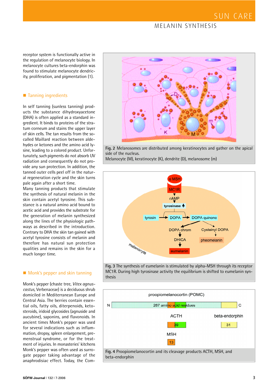# SUN CARE

### MELANIN SYNTHESIS

receptor system is functionally active in the regulation of melanocyte biology. In melanocyte cultures beta-endorphin was found to stimulate melanocyte dendricity, proliferation, and pigmentation (1).

### ■ Tanning ingredients

In self tanning (sunless tanning) products the substance dihydroxyacetone (DHA) is often applied as a standard ingredient. It binds to proteins of the stratum corneum and stains the upper layer of skin cells. The tan results from the socalled Maillard reaction between aldehydes or ketones and the amino acid lysine, leading to a colored product. Unfortunately, such pigments do not absorb UV radiation and consequently do not provide any sun protection. In addition, the tanned outer cells peel off in the natural regeneration cycle and the skin turns pale again after a short time.

Many tanning products that stimulate the synthesis of natural melanin in the skin contain acetyl tyrosine. This substance is a natural amino acid bound to acetic acid and provides the substrate for the generation of melanin synthesized along the lines of the physiologic pathways as described in the introduction. Contrary to DHA the skin tan gained with acetyl tyrosine consists of melanin and therefore has natural sun protection qualities and remains in the skin for a much longer time.

#### **Monk's pepper and skin tanning**

Monk's pepper (chaste tree, *Vitex agnuscastus*, Verbenaceae) is a deciduous shrub domiciled in Mediterranean Europe and Central Asia. The berries contain essential oils, fatty oils, diterpenoids, ketosteroids, iridoid glycosides (agnuside and aucubine), saponins, and flavonoids. In ancient times Monk's pepper was used for several indications such as inflammation, dropsy, spleen enlargement, premenstrual syndrome, or for the treatment of injuries. In monasteries' kitchens Monk's pepper was often used as surrogate pepper taking advantage of the anaphrodisiac effect. Today, the Com-



**Fig. 2** Melanosomes are distributed among keratinocytes and gather on the apical side of the nucleus.





**Fig. 3** The synthesis of eumelanin is stimulated by alpha-MSH through its receptor MC1R. During high tyrosinase activity the equilibrium is shifted to eumelanin synthesis

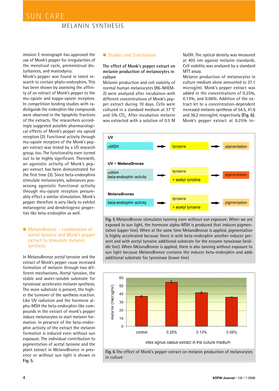## SUN CARE

### MELANIN SYNTHESIS

mission E monograph has approved the use of Monk's pepper for irregularities of the menstrual cycle, premenstrual disturbances, and mastodynia.

Monk's pepper was found in latest research to contain phyto-endorphins. This has been shown by assessing the affinity of an extract of Monk's pepper to the mu-opiate and kappa-opiate receptors. In competition binding studies with radioligands the endorphin-like compounds were observed in the lipophilic fractions of the extracts. The researchers accordingly suggested possible pharmacological effects of Monk's pepper via opioid receptors (2). Functional activity through mu-opiate receptors of the Monk's pepper extract was tested by a US research group, too. The functionality even turned out to be highly significant. Therewith, an agonistic activity of Monk's pepper extract has been demonstrated for the first time (3). Since beta-endorphins stimulate melanocytes, substances possessing agonistic functional activity through mu-opiate receptors presumably effect a similar stimulation. Monk's pepper therefore is very likely to exhibit melanogenic and dendritogenic properties like beta-endorphin as well.

### ■ MelanoBronze – combination of acetyl tyrosine and Monk's pepper extract to stimulate melanin synthesis

In MelanoBronze acetyl tyrosine and the extract of Monk's pepper cause increased formation of melanin through two different mechanisms. Acetyl tyrosine, the stable and water-soluble substrate for tyrosinase accelerates melanin synthesis. The more substrate is present, the higher the turnover of the synthesis reaction. Like UV radiation and the hormone alpha-MSH the beta-endorphin-like compounds in the extract of monk's pepper induce melanocytes to start melanin formation. In presence of the beta-endorphin activity of the extract the melanin formation is induced even without sun exposure. The individual contribution to pigmentation of acetyl tyrosine and the plant extract in MelanoBronce in presence or without sun light is shown in **Fig. 5**.

### ■ Studies and Conclusions

**The effect of Monk's pepper extract on melanin production of melanocytes in culture**

Melanin production and cell viability of normal human melanocytes (R6-NHEM-2) were analyzed after incubation with different concentrations of Monk's pepper extract during 10 days. Cells were cultured in a standard medium at 37 °C and 5%  $CO<sub>2</sub>$ . After incubation melanin was extracted with a solution of 0.5 M

NaOH. The optical density was measured at 405 nm against melanin standards. Cell viability was analyzed by a standard MTT assav.

Melanin production of melanocytes in culture medium alone amounted to 37.1 microg/ml. Monk's pepper extract was added in the concentrations of 0.25%, 0.13%, and 0.06%. Addition of the extract let to a concentration-dependent increased melanin synthesis of 54.5, 41.6 and 36.2 microg/ml, respectively **(Fig. 6)**. Monk's pepper extract at 0.25% in-



**Fig. 5** MelanoBronze stimulates tanning even without sun exposure. When we are exposed to sun light, the hormone alpha-MSH is produced that induces pigmentation (upper line). When at the same time MelanoBronze is applied, pigmentation is highly accelerated because there is with beta-endorphin another inducer present and with acetyl tyrosine additional substrate for the enzyme tyrosinase (middle line). When MelanoBronze is applied, there is also tanning without exposure to sun light because MelanoBronze contains the inducer beta-endorphin and adds additional substrate for tyrosinase (lower line)



**Fig. 6** The effect of Monk's pepper extract on melanin production of melanocytes in culture